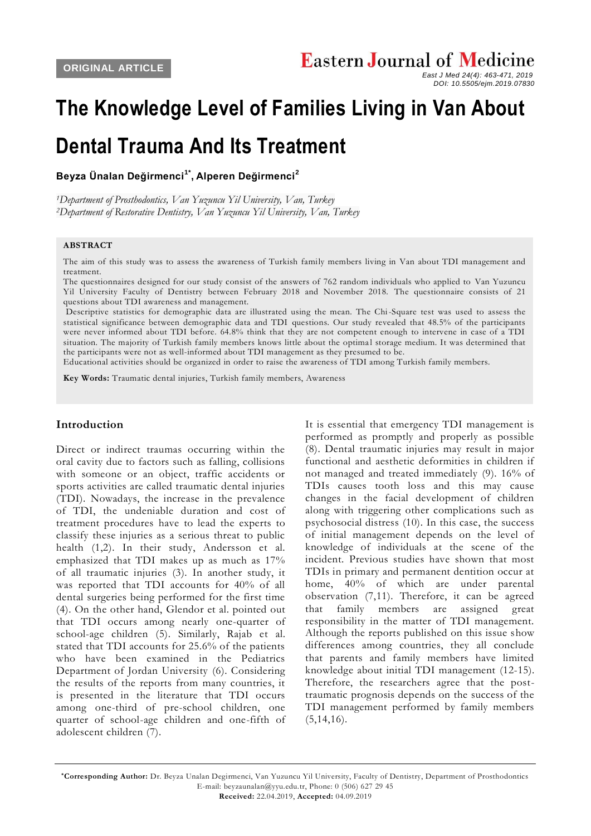# **The Knowledge Level of Families Living in Van About**

## **Dental Trauma And Its Treatment**

**Beyza Ünalan Değirmenci1\* , Alperen Değirmenci<sup>2</sup>**

*<sup>1</sup>Department of Prosthodontics, Van Yuzuncu Yil University, Van, Turkey <sup>2</sup>Department of Restorative Dentistry, Van Yuzuncu Yil University, Van, Turkey*

#### **ABSTRACT**

The aim of this study was to assess the awareness of Turkish family members living in Van about TDI management and treatment.

The questionnaires designed for our study consist of the answers of 762 random individuals who applied to Van Yuzuncu Yil University Faculty of Dentistry between February 2018 and November 2018. The questionnaire consists of 21 questions about TDI awareness and management.

Descriptive statistics for demographic data are illustrated using the mean. The Chi-Square test was used to assess the statistical significance between demographic data and TDI questions. Our study revealed that 48.5% of the participants were never informed about TDI before. 64.8% think that they are not competent enough to intervene in case of a TDI situation. The majority of Turkish family members knows little about the optimal storage medium. It was determined that the participants were not as well-informed about TDI management as they presumed to be.

Educational activities should be organized in order to raise the awareness of TDI among Turkish family members.

**Key Words:** Traumatic dental injuries, Turkish family members, Awareness

#### **Introduction**

Direct or indirect traumas occurring within the oral cavity due to factors such as falling, collisions with someone or an object, traffic accidents or sports activities are called traumatic dental injuries (TDI). Nowadays, the increase in the prevalence of TDI, the undeniable duration and cost of treatment procedures have to lead the experts to classify these injuries as a serious threat to public health (1,2). In their study, Andersson et al. emphasized that TDI makes up as much as 17% of all traumatic injuries (3). In another study, it was reported that TDI accounts for 40% of all dental surgeries being performed for the first time (4). On the other hand, Glendor et al. pointed out that TDI occurs among nearly one-quarter of school-age children (5). Similarly, Rajab et al. stated that TDI accounts for 25.6% of the patients who have been examined in the Pediatrics Department of Jordan University (6). Considering the results of the reports from many countries, it is presented in the literature that TDI occurs among one-third of pre-school children, one quarter of school-age children and one-fifth of adolescent children (7).

It is essential that emergency TDI management is performed as promptly and properly as possible (8). Dental traumatic injuries may result in major functional and aesthetic deformities in children if not managed and treated immediately (9). 16% of TDIs causes tooth loss and this may cause changes in the facial development of children along with triggering other complications such as psychosocial distress (10). In this case, the success of initial management depends on the level of knowledge of individuals at the scene of the incident. Previous studies have shown that most TDIs in primary and permanent dentition occur at home, 40% of which are under parental observation (7,11). Therefore, it can be agreed that family members are assigned great responsibility in the matter of TDI management. Although the reports published on this issue show differences among countries, they all conclude that parents and family members have limited knowledge about initial TDI management (12-15). Therefore, the researchers agree that the posttraumatic prognosis depends on the success of the TDI management performed by family members  $(5,14,16)$ .

*East J Med 24(4): 463-471, 2019 DOI: 10.5505/ejm.2019.07830*

**<sup>\*</sup>Corresponding Author:** Dr. Beyza Unalan Degirmenci, Van Yuzuncu Yil University, Faculty of Dentistry, Department of Prosthodontics E-mail: beyzaunalan@yyu.edu.tr, Phone: 0 (506) 627 29 45 **Received:** 22.04.2019, **Accepted:** 04.09.2019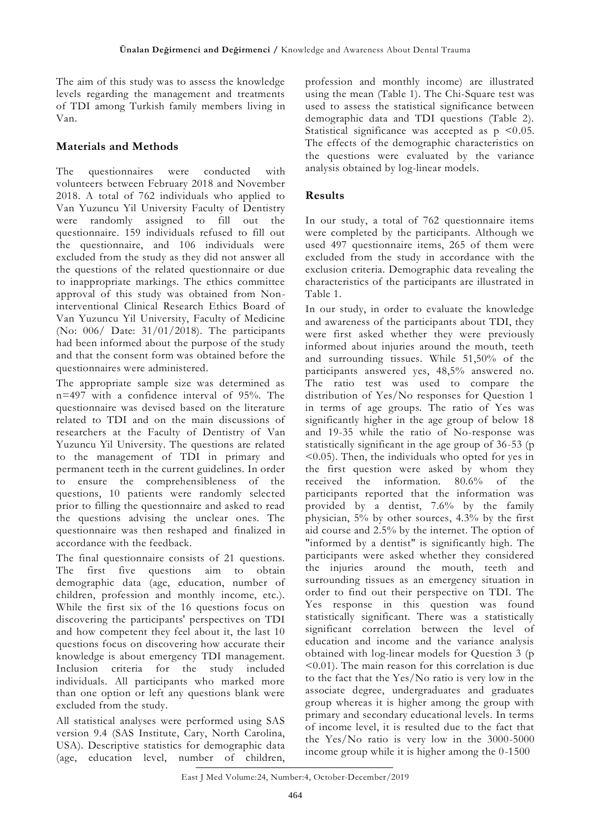The aim of this study was to assess the knowledge levels regarding the management and treatments of TDI among Turkish family members living in Van.

### **Materials and Methods**

The questionnaires were conducted with volunteers between February 2018 and November 2018. A total of 762 individuals who applied to Van Yuzuncu Yil University Faculty of Dentistry were randomly assigned to fill out the questionnaire. 159 individuals refused to fill out the questionnaire, and 106 individuals were excluded from the study as they did not answer all the questions of the related questionnaire or due to inappropriate markings. The ethics committee approval of this study was obtained from Noninterventional Clinical Research Ethics Board of Van Yuzuncu Yil University, Faculty of Medicine (No: 006/ Date: 31/01/2018). The participants had been informed about the purpose of the study and that the consent form was obtained before the questionnaires were administered.

The appropriate sample size was determined as n=497 with a confidence interval of 95%. The questionnaire was devised based on the literature related to TDI and on the main discussions of researchers at the Faculty of Dentistry of Van Yuzuncu Yil University. The questions are related to the management of TDI in primary and permanent teeth in the current guidelines. In order to ensure the comprehensibleness of the questions, 10 patients were randomly selected prior to filling the questionnaire and asked to read the questions advising the unclear ones. The questionnaire was then reshaped and finalized in accordance with the feedback.

The final questionnaire consists of 21 questions. The first five questions aim to obtain demographic data (age, education, number of children, profession and monthly income, etc.). While the first six of the 16 questions focus on discovering the participants' perspectives on TDI and how competent they feel about it, the last 10 questions focus on discovering how accurate their knowledge is about emergency TDI management. Inclusion criteria for the study included individuals. All participants who marked more than one option or left any questions blank were excluded from the study.

All statistical analyses were performed using SAS version 9.4 (SAS Institute, Cary, North Carolina, USA). Descriptive statistics for demographic data (age, education level, number of children,

profession and monthly income) are illustrated using the mean (Table 1). The Chi-Square test was used to assess the statistical significance between demographic data and TDI questions (Table 2). Statistical significance was accepted as  $p \leq 0.05$ . The effects of the demographic characteristics on the questions were evaluated by the variance analysis obtained by log-linear models.

#### **Results**

In our study, a total of 762 questionnaire items were completed by the participants. Although we used 497 questionnaire items, 265 of them were excluded from the study in accordance with the exclusion criteria. Demographic data revealing the characteristics of the participants are illustrated in Table 1.

In our study, in order to evaluate the knowledge and awareness of the participants about TDI, they were first asked whether they were previously informed about injuries around the mouth, teeth and surrounding tissues. While 51,50% of the participants answered yes, 48,5% answered no. The ratio test was used to compare the distribution of Yes/No responses for Question 1 in terms of age groups. The ratio of Yes was significantly higher in the age group of below 18 and 19-35 while the ratio of No-response was statistically significant in the age group of 36-53 (p <0.05). Then, the individuals who opted for yes in the first question were asked by whom they received the information. 80.6% of the participants reported that the information was provided by a dentist, 7.6% by the family physician, 5% by other sources, 4.3% by the first aid course and 2.5% by the internet. The option of "informed by a dentist" is significantly high. The participants were asked whether they considered the injuries around the mouth, teeth and surrounding tissues as an emergency situation in order to find out their perspective on TDI. The Yes response in this question was found statistically significant. There was a statistically significant correlation between the level of education and income and the variance analysis obtained with log-linear models for Question 3 (p <0.01). The main reason for this correlation is due to the fact that the Yes/No ratio is very low in the associate degree, undergraduates and graduates group whereas it is higher among the group with primary and secondary educational levels. In terms of income level, it is resulted due to the fact that the Yes/No ratio is very low in the 3000-5000 income group while it is higher among the 0-1500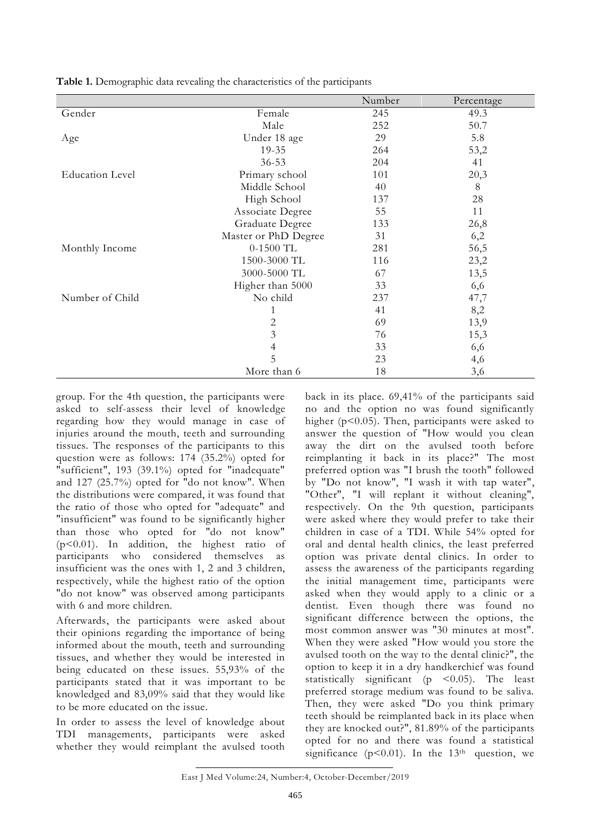|                        |                      | Number | Percentage |
|------------------------|----------------------|--------|------------|
| Gender                 | Female               | 245    | 49.3       |
|                        | Male                 | 252    | 50.7       |
| Age                    | Under 18 age         | 29     | 5.8        |
|                        | 19-35                | 264    | 53,2       |
|                        | $36 - 53$            | 204    | 41         |
| <b>Education Level</b> | Primary school       | 101    | 20,3       |
|                        | Middle School        | 40     | 8          |
|                        | High School          | 137    | 28         |
|                        | Associate Degree     | 55     | 11         |
|                        | Graduate Degree      | 133    | 26,8       |
|                        | Master or PhD Degree | 31     | 6,2        |
| Monthly Income         | $0-1500$ TL          | 281    | 56,5       |
|                        | 1500-3000 TL         | 116    | 23,2       |
|                        | 3000-5000 TL         | 67     | 13,5       |
|                        | Higher than 5000     | 33     | 6,6        |
| Number of Child        | No child             | 237    | 47,7       |
|                        |                      | 41     | 8,2        |
|                        | 2                    | 69     | 13,9       |
|                        | 3                    | 76     | 15,3       |
|                        | $\overline{4}$       | 33     | 6,6        |
|                        | 5                    | 23     | 4,6        |
|                        | More than 6          | 18     | 3,6        |

**Table 1.** Demographic data revealing the characteristics of the participants

group. For the 4th question, the participants were asked to self-assess their level of knowledge regarding how they would manage in case of injuries around the mouth, teeth and surrounding tissues. The responses of the participants to this question were as follows: 174 (35.2%) opted for "sufficient", 193 (39.1%) opted for "inadequate" and 127 (25.7%) opted for "do not know". When the distributions were compared, it was found that the ratio of those who opted for "adequate" and "insufficient" was found to be significantly higher than those who opted for "do not know" (p<0.01). In addition, the highest ratio of participants who considered themselves as insufficient was the ones with 1, 2 and 3 children, respectively, while the highest ratio of the option "do not know" was observed among participants with 6 and more children.

Afterwards, the participants were asked about their opinions regarding the importance of being informed about the mouth, teeth and surrounding tissues, and whether they would be interested in being educated on these issues. 55,93% of the participants stated that it was important to be knowledged and 83,09% said that they would like to be more educated on the issue.

In order to assess the level of knowledge about TDI managements, participants were asked whether they would reimplant the avulsed tooth back in its place. 69,41% of the participants said no and the option no was found significantly higher ( $p$ <0.05). Then, participants were asked to answer the question of "How would you clean away the dirt on the avulsed tooth before reimplanting it back in its place?" The most preferred option was "I brush the tooth" followed by "Do not know", "I wash it with tap water", "Other", "I will replant it without cleaning", respectively. On the 9th question, participants were asked where they would prefer to take their children in case of a TDI. While 54% opted for oral and dental health clinics, the least preferred option was private dental clinics. In order to assess the awareness of the participants regarding the initial management time, participants were asked when they would apply to a clinic or a dentist. Even though there was found no significant difference between the options, the most common answer was "30 minutes at most". When they were asked "How would you store the avulsed tooth on the way to the dental clinic?", the option to keep it in a dry handkerchief was found statistically significant ( $p \leq 0.05$ ). The least preferred storage medium was found to be saliva. Then, they were asked "Do you think primary teeth should be reimplanted back in its place when they are knocked out?", 81.89% of the participants opted for no and there was found a statistical significance ( $p$ <0.01). In the 13<sup>th</sup> question, we

East J Med Volume:24, Number:4, October-December/2019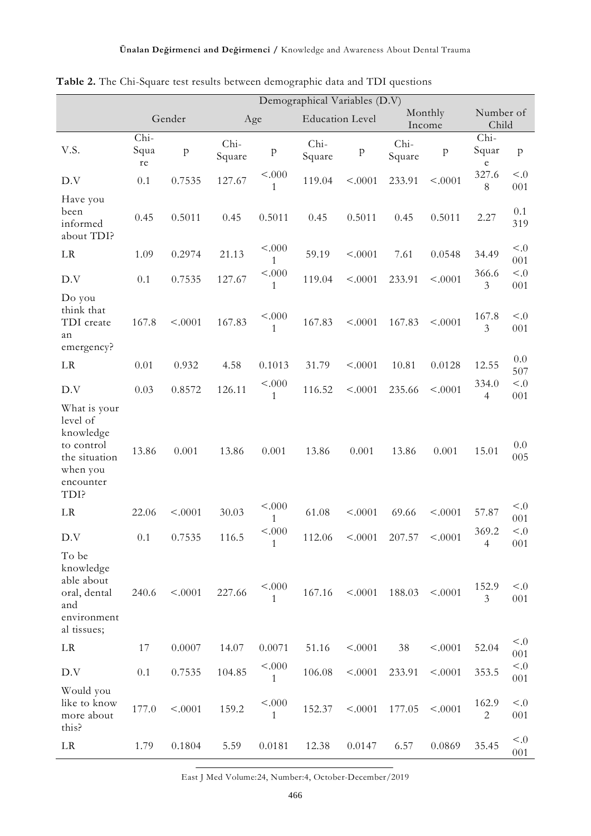|                                                                                                       | Demographical Variables (D.V) |           |                |                        |                        |                           |                   |           |                          |                 |
|-------------------------------------------------------------------------------------------------------|-------------------------------|-----------|----------------|------------------------|------------------------|---------------------------|-------------------|-----------|--------------------------|-----------------|
|                                                                                                       | Gender                        |           | Age            |                        | <b>Education Level</b> |                           | Monthly<br>Income |           | Number of<br>Child       |                 |
| V.S.                                                                                                  | Chi-<br>Squa<br>re            | ${\bf p}$ | Chi-<br>Square | p                      | Chi-<br>Square         | $\boldsymbol{\mathrm{p}}$ | Chi-<br>Square    | ${\bf p}$ | Chi-<br>Squar<br>$\rm e$ | $\mathbf{p}$    |
| D.V                                                                                                   | 0.1                           | 0.7535    | 127.67         | < .000<br>1            | 119.04                 | < .0001                   | 233.91            | < .0001   | 327.6<br>$8\,$           | $\leq 0$<br>001 |
| Have you<br>been<br>informed<br>about TDI?                                                            | 0.45                          | 0.5011    | 0.45           | 0.5011                 | 0.45                   | 0.5011                    | 0.45              | 0.5011    | 2.27                     | 0.1<br>319      |
| LR                                                                                                    | 1.09                          | 0.2974    | 21.13          | < .000<br>1            | 59.19                  | < .0001                   | 7.61              | 0.0548    | 34.49                    | $\leq 0$<br>001 |
| D.V                                                                                                   | 0.1                           | 0.7535    | 127.67         | < .000<br>1            | 119.04                 | < .0001                   | 233.91            | < .0001   | 366.6<br>3               | < 0<br>001      |
| Do you<br>think that<br>TDI create<br>an<br>emergency?                                                | 167.8                         | < .0001   | 167.83         | < .000<br>$\mathbf{1}$ | 167.83                 | < .0001                   | 167.83            | < 0001    | 167.8<br>$\mathfrak{Z}$  | < 0<br>001      |
| LR                                                                                                    | 0.01                          | 0.932     | 4.58           | 0.1013                 | 31.79                  | < .0001                   | 10.81             | 0.0128    | 12.55                    | 0.0<br>507      |
| D.V                                                                                                   | 0.03                          | 0.8572    | 126.11         | < .000<br>1            | 116.52                 | < .0001                   | 235.66            | < .0001   | 334.0<br>$\overline{4}$  | < 0<br>001      |
| What is your<br>level of<br>knowledge<br>to control<br>the situation<br>when you<br>encounter<br>TDI? | 13.86                         | 0.001     | 13.86          | 0.001                  | 13.86                  | 0.001                     | 13.86             | 0.001     | 15.01                    | 0.0<br>005      |
| LR                                                                                                    | 22.06                         | < .0001   | 30.03          | < .000<br>1            | 61.08                  | < .0001                   | 69.66             | < .0001   | 57.87                    | $\leq 0$<br>001 |
| D.V                                                                                                   | $0.1\,$                       | 0.7535    | 116.5          | < .000<br>$\mathbf{1}$ | 112.06                 |                           | $< .0001$ 207.57  | < .0001   | 369.2<br>$\overline{4}$  | < 0<br>001      |
| To be<br>knowledge<br>able about<br>oral, dental<br>and<br>environment<br>al tissues;                 | 240.6                         | < .0001   | 227.66         | < .000<br>$\mathbf{1}$ | 167.16                 | < .0001                   | 188.03            | < .0001   | 152.9<br>$\mathfrak{Z}$  | < 0.5<br>001    |
| LR                                                                                                    | 17                            | 0.0007    | 14.07          | 0.0071                 | 51.16                  | < .0001                   | 38                | < .0001   | 52.04                    | < 0<br>001      |
| D.V                                                                                                   | 0.1                           | 0.7535    | 104.85         | < .000<br>1            | 106.08                 | < .0001                   | 233.91            | < .0001   | 353.5                    | < 0<br>001      |
| Would you<br>like to know<br>more about<br>this?                                                      | 177.0                         | < .0001   | 159.2          | < 000<br>$\mathbf{1}$  | 152.37                 | < .0001                   | 177.05            | < .0001   | 162.9<br>$\overline{2}$  | < 0<br>001      |
| $\rm LR$                                                                                              | 1.79                          | 0.1804    | 5.59           | 0.0181                 | 12.38                  | 0.0147                    | 6.57              | 0.0869    | 35.45                    | < 0<br>001      |

**Table 2.** The Chi-Square test results between demographic data and TDI questions

East J Med Volume:24, Number:4, October-December/2019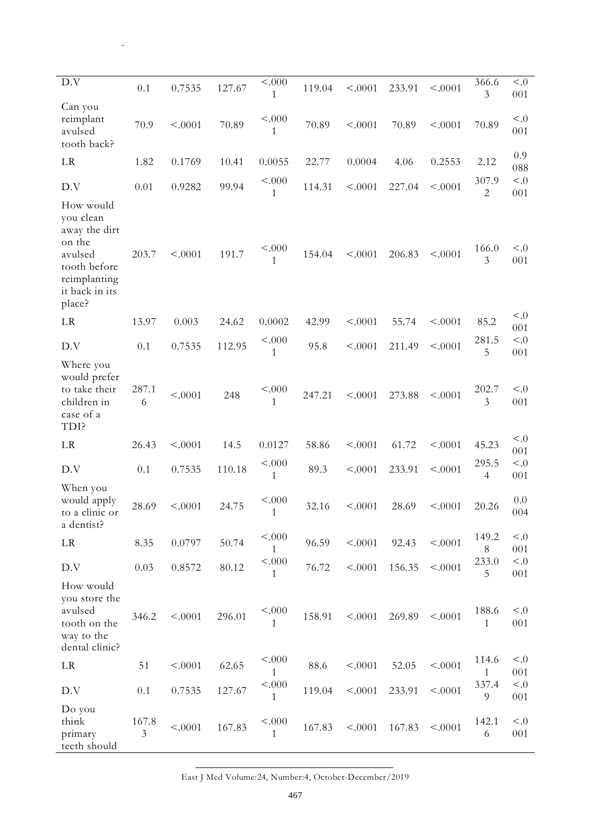| D.V                                                                                                                      | 0.1                     | 0.7535  | 127.67 | < .000<br>1 | 119.04 | < .0001 | 233.91 | < .0001 | 366.6<br>$\mathfrak{Z}$ | < 0.0<br>001    |
|--------------------------------------------------------------------------------------------------------------------------|-------------------------|---------|--------|-------------|--------|---------|--------|---------|-------------------------|-----------------|
| Can you<br>reimplant<br>avulsed<br>tooth back?                                                                           | 70.9                    | < .0001 | 70.89  | < .000<br>1 | 70.89  | < .0001 | 70.89  | < .0001 | 70.89                   | < 0<br>001      |
| LR                                                                                                                       | 1.82                    | 0.1769  | 10.41  | 0.0055      | 22.77  | 0.0004  | 4.06   | 0.2553  | 2.12                    | 0.9<br>088      |
| D.V                                                                                                                      | 0.01                    | 0.9282  | 99.94  | < .000<br>1 | 114.31 | < .0001 | 227.04 | < .0001 | 307.9<br>$\sqrt{2}$     | < 0.0<br>001    |
| How would<br>you clean<br>away the dirt<br>on the<br>avulsed<br>tooth before<br>reimplanting<br>it back in its<br>place? | 203.7                   | < .0001 | 191.7  | < 000<br>1  | 154.04 | < .0001 | 206.83 | < .0001 | 166.0<br>$\mathfrak{Z}$ | < 0<br>001      |
| LR                                                                                                                       | 13.97                   | 0.003   | 24.62  | 0.0002      | 42.99  | < .0001 | 55.74  | < .0001 | 85.2                    | < 0<br>001      |
| D.V                                                                                                                      | $0.1\,$                 | 0.7535  | 112.95 | < .000<br>1 | 95.8   | < .0001 | 211.49 | < .0001 | 281.5<br>5              | < 0.0<br>001    |
| Where you<br>would prefer<br>to take their<br>children in<br>case of a<br>TDI?                                           | 287.1<br>6              | < .0001 | 248    | < .000<br>1 | 247.21 | < .0001 | 273.88 | < .0001 | 202.7<br>$\mathfrak{Z}$ | < 0<br>001      |
| LR                                                                                                                       | 26.43                   | < .0001 | 14.5   | 0.0127      | 58.86  | < .0001 | 61.72  | < .0001 | 45.23                   | < 0<br>001      |
| D.V                                                                                                                      | 0.1                     | 0.7535  | 110.18 | < .000<br>1 | 89.3   | < .0001 | 233.91 | < .0001 | 295.5<br>$\overline{4}$ | < 0.0<br>001    |
| When you<br>would apply<br>to a clinic or<br>a dentist?                                                                  | 28.69                   | < .0001 | 24.75  | < .000<br>1 | 32.16  | < .0001 | 28.69  | < .0001 | 20.26                   | 0.0<br>004      |
| LR                                                                                                                       | 8.35                    | 0.0797  | 50.74  | < 000<br>1  | 96.59  | < .0001 | 92.43  | < .0001 | 149.2<br>$8\,$          | < 0.0<br>001    |
| D.V                                                                                                                      | 0.03                    | 0.8572  | 80.12  | < .000<br>1 | 76.72  | < .0001 | 156.35 | < .0001 | 233.0<br>5              | < 0.5<br>001    |
| How would<br>you store the<br>avulsed<br>tooth on the<br>way to the<br>dental clinic?                                    | 346.2                   | < .0001 | 296.01 | < .000<br>1 | 158.91 | < .0001 | 269.89 | < .0001 | 188.6<br>1              | $\leq 0$<br>001 |
| LR                                                                                                                       | 51                      | < .0001 | 62.65  | < .000<br>1 | 88.6   | < .0001 | 52.05  | < .0001 | 114.6<br>$\mathbf{1}$   | $\leq 0$<br>001 |
| D.V                                                                                                                      | 0.1                     | 0.7535  | 127.67 | < .000<br>1 | 119.04 | < .0001 | 233.91 | < .0001 | 337.4<br>9              | < 0.5<br>001    |
| Do you<br>think<br>primary<br>teeth should                                                                               | 167.8<br>$\mathfrak{Z}$ | < .0001 | 167.83 | < 000<br>1  | 167.83 | < .0001 | 167.83 | < .0001 | 142.1<br>6              | < 0.0<br>001    |

East J Med Volume:24, Number:4, October-December/2019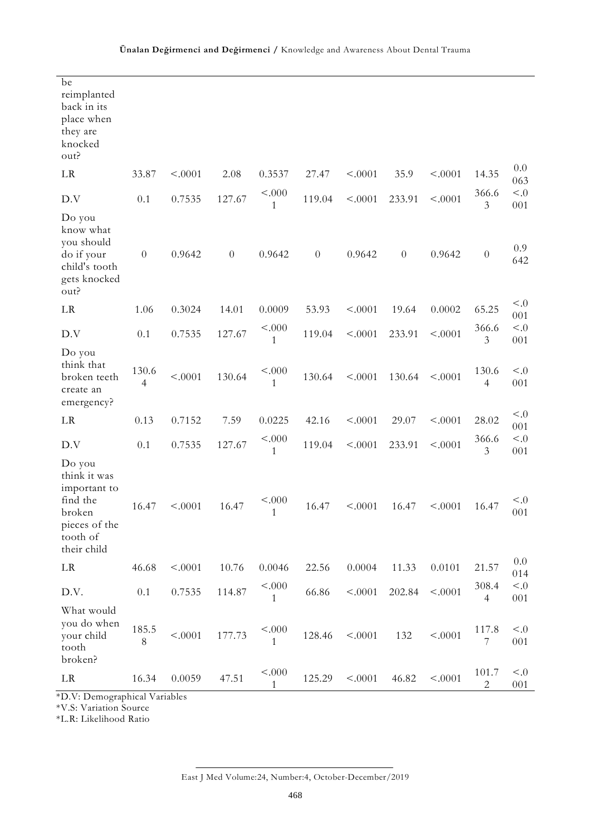| be<br>reimplanted<br>back in its<br>place when<br>they are<br>knocked<br>out?                            |            |         |          |                        |          |         |          |         |                         |                 |
|----------------------------------------------------------------------------------------------------------|------------|---------|----------|------------------------|----------|---------|----------|---------|-------------------------|-----------------|
| LR                                                                                                       | 33.87      | < .0001 | 2.08     | 0.3537                 | 27.47    | < .0001 | 35.9     | < .0001 | 14.35                   | 0.0<br>063      |
| D.V                                                                                                      | 0.1        | 0.7535  | 127.67   | < .000<br>1            | 119.04   | < .0001 | 233.91   | < .0001 | 366.6<br>3              | < 0.0<br>001    |
| Do you<br>know what<br>you should<br>do if your<br>child's tooth<br>gets knocked<br>out?                 | $\theta$   | 0.9642  | $\theta$ | 0.9642                 | $\theta$ | 0.9642  | $\theta$ | 0.9642  | $\theta$                | 0.9<br>642      |
| LR                                                                                                       | 1.06       | 0.3024  | 14.01    | 0.0009                 | 53.93    | < .0001 | 19.64    | 0.0002  | 65.25                   | < 0.0<br>001    |
| D.V                                                                                                      | 0.1        | 0.7535  | 127.67   | < .000<br>$\mathbf{1}$ | 119.04   | < .0001 | 233.91   | < .0001 | 366.6<br>3              | < 0.0<br>001    |
| Do you<br>think that<br>broken teeth<br>create an<br>emergency?                                          | 130.6<br>4 | < .0001 | 130.64   | < .000<br>1            | 130.64   | < .0001 | 130.64   | < .0001 | 130.6<br>4              | $\leq 0$<br>001 |
| LR                                                                                                       | 0.13       | 0.7152  | 7.59     | 0.0225                 | 42.16    | < .0001 | 29.07    | < .0001 | 28.02                   | < 0.0<br>001    |
| D.V                                                                                                      | 0.1        | 0.7535  | 127.67   | < 000<br>1             | 119.04   | < .0001 | 233.91   | < .0001 | 366.6<br>3              | < 0.0<br>001    |
| Do you<br>think it was<br>important to<br>find the<br>broken<br>pieces of the<br>tooth of<br>their child | 16.47      | < .0001 | 16.47    | < .000<br>1            | 16.47    | < .0001 | 16.47    | < .0001 | 16.47                   | < 0.5<br>001    |
| LR                                                                                                       | 46.68      | < .0001 | 10.76    | 0.0046                 | 22.56    | 0.0004  | 11.33    | 0.0101  | 21.57                   | 0.0<br>014      |
| D.V.                                                                                                     | 0.1        | 0.7535  | 114.87   | < .000<br>$\mathbf{1}$ | 66.86    | < .0001 | 202.84   | < .0001 | 308.4<br>$\overline{4}$ | < 0.5<br>001    |
| What would<br>you do when<br>your child<br>tooth<br>broken?                                              | 185.5<br>8 | < .0001 | 177.73   | < .000<br>$\mathbf{1}$ | 128.46   | < .0001 | 132      | < .0001 | 117.8<br>$\overline{7}$ | < 0.0<br>001    |
| $\rm LR$                                                                                                 | 16.34      | 0.0059  | 47.51    | < .000<br>1            | 125.29   | < .0001 | 46.82    | < .0001 | 101.7<br>$\overline{2}$ | < 0.0<br>001    |

\*D.V: Demographical Variables

\*V.S: Variation Source

\*L.R: Likelihood Ratio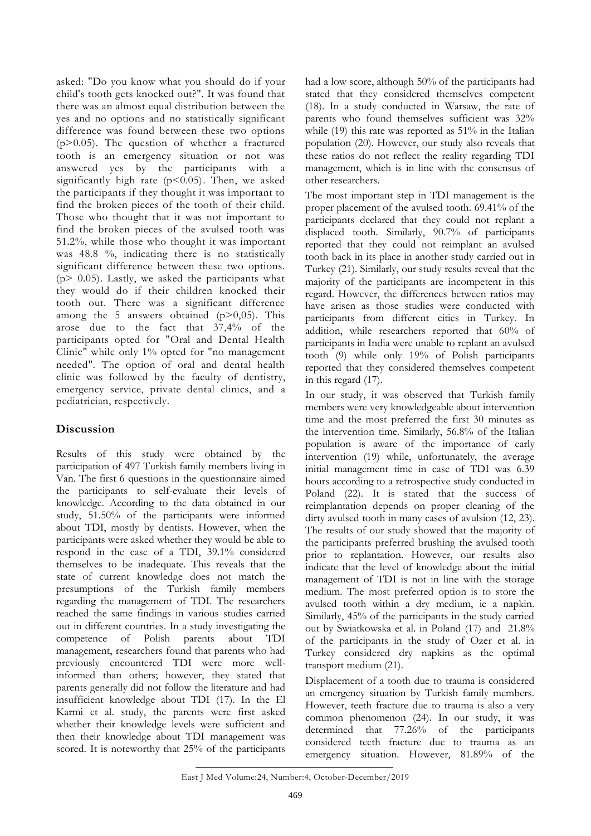asked: "Do you know what you should do if your child's tooth gets knocked out?". It was found that there was an almost equal distribution between the yes and no options and no statistically significant difference was found between these two options  $(p>0.05)$ . The question of whether a fractured tooth is an emergency situation or not was answered yes by the participants with a significantly high rate  $(p<0.05)$ . Then, we asked the participants if they thought it was important to find the broken pieces of the tooth of their child. Those who thought that it was not important to find the broken pieces of the avulsed tooth was 51.2%, while those who thought it was important was 48.8 %, indicating there is no statistically significant difference between these two options.  $(p > 0.05)$ . Lastly, we asked the participants what they would do if their children knocked their tooth out. There was a significant difference among the 5 answers obtained  $(p>0,05)$ . This arose due to the fact that  $37,4\%$  of the participants opted for "Oral and Dental Health Clinic" while only 1% opted for "no management needed". The option of oral and dental health clinic was followed by the faculty of dentistry, emergency service, private dental clinics, and a pediatrician, respectively.

## **Discussion**

Results of this study were obtained by the participation of 497 Turkish family members living in Van. The first 6 questions in the questionnaire aimed the participants to self-evaluate their levels of knowledge. According to the data obtained in our study, 51.50% of the participants were informed about TDI, mostly by dentists. However, when the participants were asked whether they would be able to respond in the case of a TDI, 39.1% considered themselves to be inadequate. This reveals that the state of current knowledge does not match the presumptions of the Turkish family members regarding the management of TDI. The researchers reached the same findings in various studies carried out in different countries. In a study investigating the competence of Polish parents about TDI management, researchers found that parents who had previously encountered TDI were more wellinformed than others; however, they stated that parents generally did not follow the literature and had insufficient knowledge about TDI (17). In the El Karmi et al. study, the parents were first asked whether their knowledge levels were sufficient and then their knowledge about TDI management was scored. It is noteworthy that 25% of the participants

had a low score, although 50% of the participants had stated that they considered themselves competent (18). In a study conducted in Warsaw, the rate of parents who found themselves sufficient was 32% while (19) this rate was reported as 51% in the Italian population (20). However, our study also reveals that these ratios do not reflect the reality regarding TDI management, which is in line with the consensus of other researchers.

The most important step in TDI management is the proper placement of the avulsed tooth. 69.41% of the participants declared that they could not replant a displaced tooth. Similarly, 90.7% of participants reported that they could not reimplant an avulsed tooth back in its place in another study carried out in Turkey (21). Similarly, our study results reveal that the majority of the participants are incompetent in this regard. However, the differences between ratios may have arisen as those studies were conducted with participants from different cities in Turkey. In addition, while researchers reported that 60% of participants in India were unable to replant an avulsed tooth (9) while only 19% of Polish participants reported that they considered themselves competent in this regard (17).

In our study, it was observed that Turkish family members were very knowledgeable about intervention time and the most preferred the first 30 minutes as the intervention time. Similarly, 56.8% of the Italian population is aware of the importance of early intervention (19) while, unfortunately, the average initial management time in case of TDI was 6.39 hours according to a retrospective study conducted in Poland (22). It is stated that the success of reimplantation depends on proper cleaning of the dirty avulsed tooth in many cases of avulsion (12, 23). The results of our study showed that the majority of the participants preferred brushing the avulsed tooth prior to replantation. However, our results also indicate that the level of knowledge about the initial management of TDI is not in line with the storage medium. The most preferred option is to store the avulsed tooth within a dry medium, ie a napkin. Similarly, 45% of the participants in the study carried out by Swiatkowska et al. in Poland (17) and 21.8% of the participants in the study of Ozer et al. in Turkey considered dry napkins as the optimal transport medium (21).

Displacement of a tooth due to trauma is considered an emergency situation by Turkish family members. However, teeth fracture due to trauma is also a very common phenomenon (24). In our study, it was determined that 77.26% of the participants considered teeth fracture due to trauma as an emergency situation. However, 81.89% of the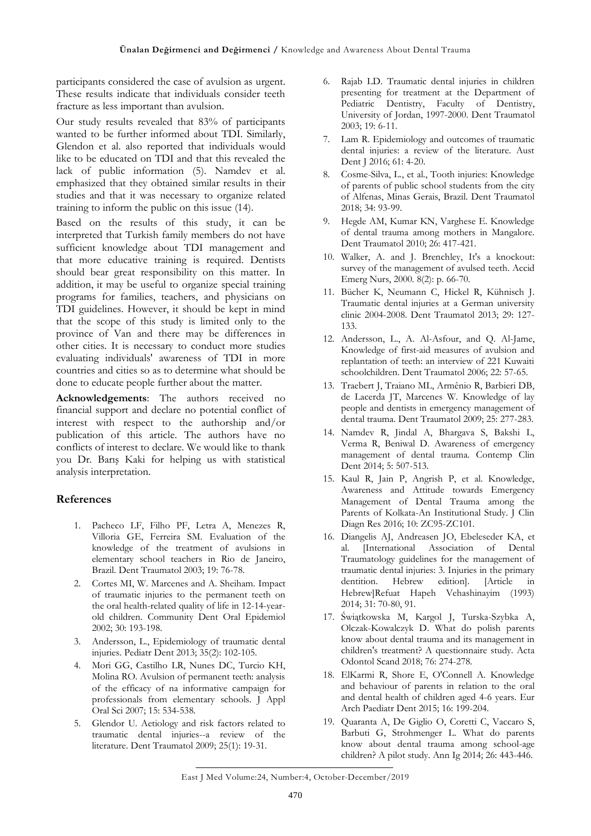participants considered the case of avulsion as urgent. These results indicate that individuals consider teeth fracture as less important than avulsion.

Our study results revealed that 83% of participants wanted to be further informed about TDI. Similarly, Glendon et al. also reported that individuals would like to be educated on TDI and that this revealed the lack of public information (5). Namdev et al. emphasized that they obtained similar results in their studies and that it was necessary to organize related training to inform the public on this issue (14).

Based on the results of this study, it can be interpreted that Turkish family members do not have sufficient knowledge about TDI management and that more educative training is required. Dentists should bear great responsibility on this matter. In addition, it may be useful to organize special training programs for families, teachers, and physicians on TDI guidelines. However, it should be kept in mind that the scope of this study is limited only to the province of Van and there may be differences in other cities. It is necessary to conduct more studies evaluating individuals' awareness of TDI in more countries and cities so as to determine what should be done to educate people further about the matter.

**Acknowledgements**: The authors received no financial support and declare no potential conflict of interest with respect to the authorship and/or publication of this article. The authors have no conflicts of interest to declare. We would like to thank you Dr. Barış Kaki for helping us with statistical analysis interpretation.

#### **References**

- 1. Pacheco LF, Filho PF, Letra A, Menezes R, Villoria GE, Ferreira SM. Evaluation of the knowledge of the treatment of avulsions in elementary school teachers in Rio de Janeiro, Brazil. Dent Traumatol 2003; 19: 76-78.
- 2. Cortes MI, W. Marcenes and A. Sheiham. Impact of traumatic injuries to the permanent teeth on the oral health-related quality of life in 12-14-yearold children. Community Dent Oral Epidemiol 2002; 30: 193-198.
- 3. Andersson, L., Epidemiology of traumatic dental injuries. Pediatr Dent 2013; 35(2): 102-105.
- 4. Mori GG, Castilho LR, Nunes DC, Turcio KH, Molina RO. Avulsion of permanent teeth: analysis of the efficacy of na informative campaign for professionals from elementary schools. J Appl Oral Sci 2007; 15: 534-538.
- 5. Glendor U. Aetiology and risk factors related to traumatic dental injuries--a review of the literature. Dent Traumatol 2009; 25(1): 19-31.
- 6. Rajab LD. Traumatic dental injuries in children presenting for treatment at the Department of Pediatric Dentistry, Faculty of Dentistry, University of Jordan, 1997-2000. Dent Traumatol 2003; 19: 6-11.
- 7. Lam R. Epidemiology and outcomes of traumatic dental injuries: a review of the literature. Aust Dent J 2016; 61: 4-20.
- 8. Cosme-Silva, L., et al., Tooth injuries: Knowledge of parents of public school students from the city of Alfenas, Minas Gerais, Brazil. Dent Traumatol 2018; 34: 93-99.
- 9. Hegde AM, Kumar KN, Varghese E. Knowledge of dental trauma among mothers in Mangalore. Dent Traumatol 2010; 26: 417-421.
- 10. Walker, A. and J. Brenchley, It's a knockout: survey of the management of avulsed teeth. Accid Emerg Nurs, 2000. 8(2): p. 66-70.
- 11. Bücher K, Neumann C, Hickel R, Kühnisch J. Traumatic dental injuries at a German university clinic 2004-2008. Dent Traumatol 2013; 29: 127- 133.
- 12. Andersson, L., A. Al-Asfour, and Q. Al-Jame, Knowledge of first-aid measures of avulsion and replantation of teeth: an interview of 221 Kuwaiti schoolchildren. Dent Traumatol 2006; 22: 57-65.
- 13. Traebert J, Traiano ML, Armênio R, Barbieri DB, de Lacerda JT, Marcenes W. Knowledge of lay people and dentists in emergency management of dental trauma. Dent Traumatol 2009; 25: 277-283.
- 14. Namdev R, Jindal A, Bhargava S, Bakshi L, Verma R, Beniwal D. Awareness of emergency management of dental trauma. Contemp Clin Dent 2014; 5: 507-513.
- 15. Kaul R, Jain P, Angrish P, et al. Knowledge, Awareness and Attitude towards Emergency Management of Dental Trauma among the Parents of Kolkata-An Institutional Study. J Clin Diagn Res 2016; 10: ZC95-ZC101.
- 16. Diangelis AJ, Andreasen JO, Ebeleseder KA, et al. [International Association of Dental Traumatology guidelines for the management of traumatic dental injuries: 3. Injuries in the primary dentition. Hebrew edition]. [Article in Hebrew]Refuat Hapeh Vehashinayim (1993) 2014; 31: 70-80, 91.
- 17. Świątkowska M, Kargol J, Turska-Szybka A, Olczak-Kowalczyk D. What do polish parents know about dental trauma and its management in children's treatment? A questionnaire study. Acta Odontol Scand 2018; 76: 274-278.
- 18. ElKarmi R, Shore E, O'Connell A. Knowledge and behaviour of parents in relation to the oral and dental health of children aged 4-6 years. Eur Arch Paediatr Dent 2015; 16: 199-204.
- 19. Quaranta A, De Giglio O, Coretti C, Vaccaro S, Barbuti G, Strohmenger L. What do parents know about dental trauma among school-age children? A pilot study. Ann Ig 2014; 26: 443-446.

East J Med Volume:24, Number:4, October-December/2019